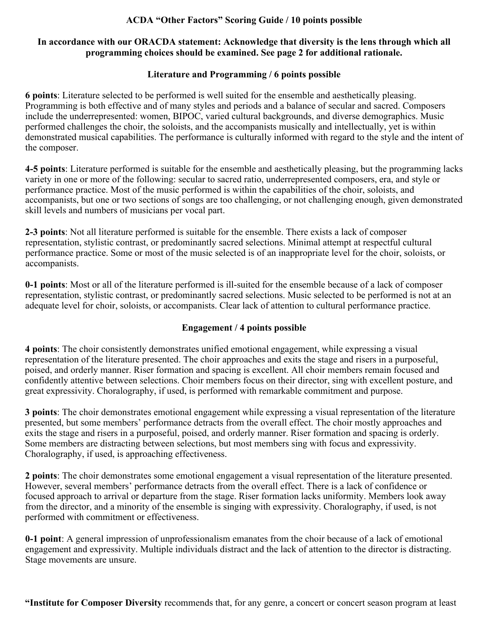### **ACDA "Other Factors" Scoring Guide / 10 points possible**

# **In accordance with our ORACDA statement: Acknowledge that diversity is the lens through which all programming choices should be examined. See page 2 for additional rationale.**

# **Literature and Programming / 6 points possible**

**6 points**: Literature selected to be performed is well suited for the ensemble and aesthetically pleasing. Programming is both effective and of many styles and periods and a balance of secular and sacred. Composers include the underrepresented: women, BIPOC, varied cultural backgrounds, and diverse demographics. Music performed challenges the choir, the soloists, and the accompanists musically and intellectually, yet is within demonstrated musical capabilities. The performance is culturally informed with regard to the style and the intent of the composer.

**4-5 points**: Literature performed is suitable for the ensemble and aesthetically pleasing, but the programming lacks variety in one or more of the following: secular to sacred ratio, underrepresented composers, era, and style or performance practice. Most of the music performed is within the capabilities of the choir, soloists, and accompanists, but one or two sections of songs are too challenging, or not challenging enough, given demonstrated skill levels and numbers of musicians per vocal part.

**2-3 points**: Not all literature performed is suitable for the ensemble. There exists a lack of composer representation, stylistic contrast, or predominantly sacred selections. Minimal attempt at respectful cultural performance practice. Some or most of the music selected is of an inappropriate level for the choir, soloists, or accompanists.

**0-1 points**: Most or all of the literature performed is ill-suited for the ensemble because of a lack of composer representation, stylistic contrast, or predominantly sacred selections. Music selected to be performed is not at an adequate level for choir, soloists, or accompanists. Clear lack of attention to cultural performance practice.

### **Engagement / 4 points possible**

**4 points**: The choir consistently demonstrates unified emotional engagement, while expressing a visual representation of the literature presented. The choir approaches and exits the stage and risers in a purposeful, poised, and orderly manner. Riser formation and spacing is excellent. All choir members remain focused and confidently attentive between selections. Choir members focus on their director, sing with excellent posture, and great expressivity. Choralography, if used, is performed with remarkable commitment and purpose.

**3 points**: The choir demonstrates emotional engagement while expressing a visual representation of the literature presented, but some members' performance detracts from the overall effect. The choir mostly approaches and exits the stage and risers in a purposeful, poised, and orderly manner. Riser formation and spacing is orderly. Some members are distracting between selections, but most members sing with focus and expressivity. Choralography, if used, is approaching effectiveness.

**2 points**: The choir demonstrates some emotional engagement a visual representation of the literature presented. However, several members' performance detracts from the overall effect. There is a lack of confidence or focused approach to arrival or departure from the stage. Riser formation lacks uniformity. Members look away from the director, and a minority of the ensemble is singing with expressivity. Choralography, if used, is not performed with commitment or effectiveness.

**0-1 point**: A general impression of unprofessionalism emanates from the choir because of a lack of emotional engagement and expressivity. Multiple individuals distract and the lack of attention to the director is distracting. Stage movements are unsure.

**"Institute for Composer Diversity** recommends that, for any genre, a concert or concert season program at least